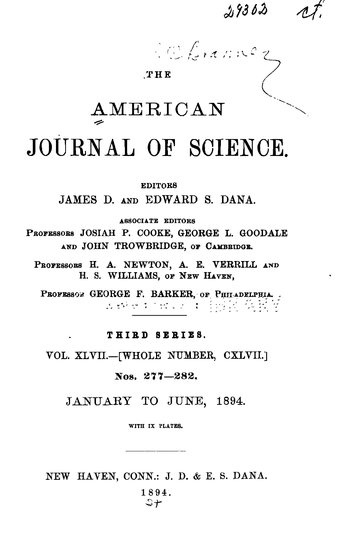$2,9303$ 

Velocannez

### THE

# AMERICAN JOURNAL OF SCIENCE.

**EDITORS** 

JAMES D. AND EDWARD S. DANA.

ASSOCIATE EDITORS

PROFESSORS JOSIAH P. COOKE, GEORGE L. GOODALE AND JOHN TROWBRIDGE, OF CAMBRIDGE.

PROFESSORS H. A. NEWTON, A. E. VERRILL AND H. S. WILLIAMS, OF NEW HAVEN,

PROFESSON GEORGE F. BARKER, OF PHILADELPHIA. 

## THIRD SERIES.

VOL. XLVII.-[WHOLE NUMBER, CXLVII.]

Nos. 277-282.

JANUARY TO JUNE, 1894.

WITH IX PLATES.

NEW HAVEN, CONN.: J. D. & E. S. DANA.

1894.  $5 +$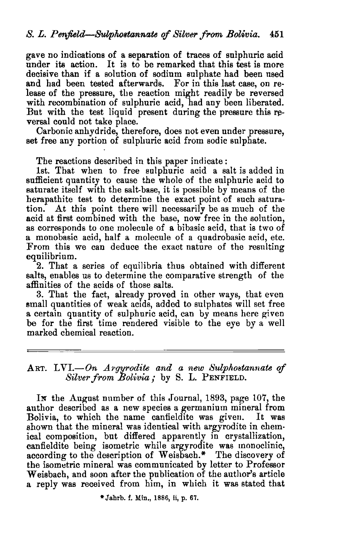gave no indications of a separation of traces of sulphuric acid under its action. It is to be remarked that this test is more decisive than if a solution of sodium sulphate had been used and had been tested afterwards. For in this last case, on release of the pressure, the reaction might readily be reversed with recombination of sulphuric acid, had any been liberated. But with the test liquid present during the pressure this reversal could not take place.

Carbonic anhydride, therefore, does not even under pressure, set free any portion of sulphuric acid from sodic sulphate.

The reactions described in this paper indicate:

1st. That when to free sulphuric acid a salt is added in sufficient quantity to cause the whole of the sulphuric acid to saturate itself with the salt-base, it is possible by means of the berapathite test to determine the exact point of sucb saturation. At this point there will necessarily be as much of the acid at first combined with the base, now free in the solution, as corresponds to one molecule of a bibasic acid, that is two of a monobasic acid, half a molecule of a quadrobasic acid, etc. From this we can deduce the exact nature of the resulting equilibrium.

2. That a series of equilibria thus obtained with different salts, enables us to determine the comparative strength of the affinities of the acids of those salts.

3. That the fact, already proved in other ways, that even small quantities of weak acids, added to sulphates will set free a certain quantity of sulphuric acid, can by means here given be for the first time rendered visible to the eye by a well marked chemical reaction.

## ART. LVI.-On Argyrodite and a new Sulphostannate of *Silverfrom Bolivia,.* by S. L. PENFIELD.

IN the August number of this Journal, 1893, page 107, the author described as a new species a germanium mineral from Bolivia, to which the name canfieldite was given. It was shown that the mineral was identical with argyrodite in chemical composition, but differed apparently in crystallization, canfieldite being isometric while argyrodite was monoclinic, according to the description of Weisbach.\* The discovery of the isometric mineral was communicated by letter to Professor W eisbach, and soon after the publication of the author's article a reply was received from him, in which it was stated that

\*Jahrb. f. Min., 1886, ii, p. 67.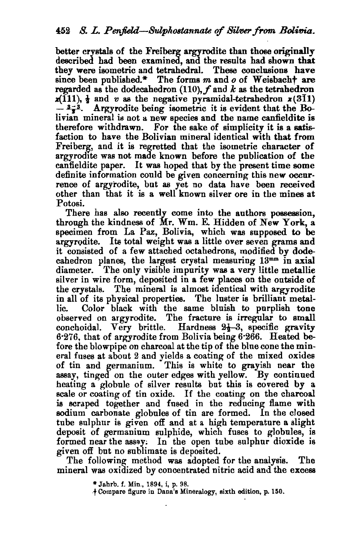better crvstals of the Freiberg argyrodite than those originally described had been examined, and the results had shown that they were isometric and tetrahedral. These conclusions have since been published.\* The forms m and *o* of Weisbacht are regarded as the dodecahedron *(110),f* and *k* as the tetrahedron  $x(111)$ ,  $\frac{1}{2}$  and *v* as the negative pyramidal-tetrahedron  $x(311)$  $\frac{3-3}{2}$ . Argyrodite being isometric it is evident that the Bolivian mineral is not a new species and the name canfieldite is therefore withdrawn. For the sake of simplicity it is a satisfaction to have the Bolivian mineral identical with that from Freiberg, and it is regretted that the isometric character of argyrodite was not made known before the publication of the canfieldite paper. It was hoped that by the present time some definite information could be given concerning this new occurrence of argyrodite, but as yet no data have been received other than that it is a well known silver ore in the mines at Potosi.

There has also recently come into the authors possession, through the kindness of Mr. Wm. E. Hidden of New York, a specimen from La Paz, Bolivia, which was supposed to be argyrodite. Its total weight was a little over seven grams and it consisted of a few attached octahedrons, modified by dodecahedron planes, the largest crystal measuring  $13<sup>mm</sup>$  in axial diameter. The only visible impurity was a very little metallic silver in wire form, deposited in a few places on the outside of the crystals. The mineral is almost identical with argyrodite in all of its physical properties. The luster is brilliant metallic. Color black with the same bluish to purplish tone observed on argyrodite. The fracture is irregular to small conchoidal. Very brittle. Hardness  $2\frac{1}{2}-3$ , specific gravity 6.276, that of argyrodite from Bolivia being  $6.266$ . Heated before the blowpipe on charcoal at the tip of the blue cone the mineral fuses at about 2 and yields a coating of the mixed oxides of tin and germanium. This is white to grayish near the assay, tinged on the outer edges with yellow. By continued heating a globule of silver results but this is covered by a scale or coating of tin oxide. If the coating on the charcoal is scraped together and fused in the reducing flame with sodium carbonate globules of tin are formed. In the closed tube sulphur is given off and at a high temperature a slight deposit of germanium sulphide, which fuses to globules, is formed near the assay. In the open tube sulphur dioxide is given off but no sublimate is deposited.

The following method was adopted for the analysis. The mineral was oxidized by concentrated nitric acid and the excess

\*Jahrb. f. Min., 1894, i, p. 98.

·t Compare figure in Dana'e Mineralogy, eixth edition, p. 150.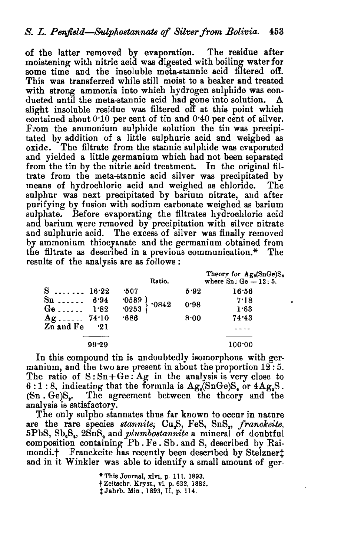of the latter removed by evaporation. The residue after moistening with nitric acid was digested with boiling water for some time and the insoluble meta-stannic acid filtered off. This was transferred while still moist to a beaker and treated with strong ammonia into which hydrogen sulphide was conducted until the meta-stannic acid had gone into solution. A slight insoluble residue was filtered off at this point which contained about 0'10 per cent of tin and 0·40 per cent of silver. From the ammonium sulphide solution the tin was precipitated by addition of a little sulphuric acid and weighed as oxide. The filtrate from the stannic sulphide was evaporated and vielded a little germanium which had not been separated from the tin by the nitric acid treatment. In the original filtrate from the meta-stannic acid silver was precipitated by means of hydrochloric acid and weighed as chloride. The sulphur was next precipitated by barium nitrate, and after purifying by fusion with sodium carbonate weighed as barium sulphate. Before evaporating the filtrates hydrochloric acid and barium were removed by precipitation with silver nitrate and sulphuric acid. The excess of silver was finally removed by ammonium thiocyanate and the germanium obtained from the filtrate as described in a previous communication.\* The results of the analysis are as follows:

|             |            | Ratio.                                                                             |      | Theory for $Ag_8(SnGe)S_6$<br>where $Sn: Ge = 12:5$ . |
|-------------|------------|------------------------------------------------------------------------------------|------|-------------------------------------------------------|
| $S$ 16.22   |            | -507                                                                               | 5.92 | 16:56                                                 |
| $Sn$        | 6.94       | $\begin{array}{c} .0589 \\ .0253 \end{array}$ $\begin{array}{c} .0842 \end{array}$ | 0.98 | 7.18                                                  |
| $Ge \ldots$ | 1.82       |                                                                                    |      | 1.83                                                  |
| $Ag$ 74.10  |            | $-686$                                                                             | 8.00 | 74.43                                                 |
| Zn and Fe   | $\cdot$ 21 |                                                                                    |      |                                                       |
|             |            |                                                                                    |      |                                                       |
|             | 99.29      |                                                                                    |      | 100:00                                                |

In this compound tin is undoubtedly isomorphous with germanium, and the two are present in about the proportion  $12$ : 5. The ratio of  $S:Sn+Ge:Ag$  in the analysis is very close to  $6:1:8$ , indicating that the formula is  $Ag_s(SnGe)S_s$  or  $4Ag_sS$ . (Sn . Ge)S.. The agreement between the theory and the analysis is satisfactory.

The only sulpho stannates thus far known to occur in nature are the rare species *stannite*, Cu<sub>2</sub>S, FeS, SnS<sub>2</sub>, franckeite, 5PbS, Sb.S., 2SnS. and *plumbostannite* a mineral of donbtful composition containing Pb. Fe. Sb. and S, described by Raimondi.<sup>†</sup> Franckeite has recently been described by Stelzner<sup>†</sup> and in it Winkler was able to identify a small amount of ger-

> \* This Journal, xlvi, p. 111. 1893. t Zeitschr. Kryst., vi, p. 632, 1882. t J ahrb. Min, 1893, II, p. 114.